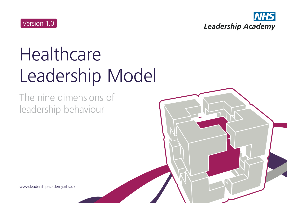

# **Healthcare** Leadership Model

The nine dimensions of leadership behaviour

www.leadershipacademy.nhs.uk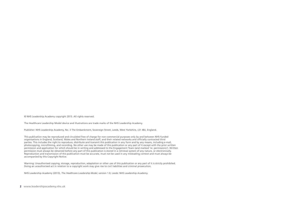© NHS Leadership Academy copyright 2013. All rights reserved.

The Healthcare Leadership Model device and illustrations are trade marks of the NHS Leadership Academy.

Publisher: NHS Leadership Academy, No. 3 The Embankment, Sovereign Street, Leeds, West Yorkshire, LS1 4BJ, England.

This publication may be reproduced and circulated free of charge for non-commercial purposes only by and between NHS-funded organisations in England, Scotland, Wales and Northern Ireland staff, and their related networks and officially contracted third parties. This includes the right to reproduce, distribute and transmit this publication in any form and by any means, including e-mail, photocopying, microfilming, and recording. No other use may be made of this publication or any part of it except with the prior written permission and application for which should be in writing and addressed to the Engagement Team (and marked 're. permissions'). Written permission must always be obtained before any part of this publication is stored in a retrieval system of any nature, or electronically. Reproduction and transmission of this publication must be accurate, must not be used in any misleading context and must always be accompanied by this Copyright Notice.

Warning: Unauthorised copying, storage, reproduction, adaptation or other use of this publication or any part of it is strictly prohibited. Doing an unauthorised act in relation to a copyright work may give rise to civil liabilities and criminal prosecution.

NHS Leadership Academy (2013), *The Healthcare Leadership Model*, version 1.0, Leeds: NHS Leadership Academy.

**2 www.leadershipacademy.nhs.uk**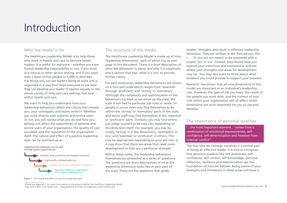### Introduction

### Who the model is for

The Healthcare Leadership Model is to help those who work in health and care to become better leaders. It is useful for everyone – whether you have formal leadership responsibility or not, if you work in a clinical or other service setting, and if you work with a team of five people or 5,000. It describes the things you can see leaders doing at work and is organised in a way that helps everyone to see how they can develop as a leader. It applies equally to the whole variety of roles and care settings that exist within health and care.

We want to help you understand how your leadership behaviours affect the culture and climate you, your colleagues, and teams work in. Whether you work directly with patients and service users or not, you will realise what you do and how you behave will affect the experiences of patients and service users of your organisation, the quality of care provided, and the reputation of the organisation itself. The nature and effect of a positive leadership style can be summed up as:

#### Leadership that emphasises care for staff and high-quality support services



#### The structure of the model

The Healthcare Leadership Model is made up of nine 'leadership dimensions', each of which has its own page in this document. There is a brief description of what the dimension is about and why it is important. and a section that says 'what it is not' to provide further clarity.

For each dimension, leadership behaviours are shown on a four-part scale which ranges from 'essential' through 'proficient' and 'strong' to 'exemplary'. Although the complexity and sophistication of the behaviours increase as we move up the scale, the scale is not tied to particular job roles or levels. So people in junior roles may find themselves to be within the 'strong' or 'exemplary' parts of the scale, and senior staff may find themselves in the 'essential' or 'proficient' parts. Similarly, you may find where you judge yourself to be may vary depending on the dimension itself. For example, you may be mostly 'strong' in a few dimensions, 'exemplary' in one, and 'essential' or 'proficient' in others. This may be appropriate depending on your job role, or it may show that there are areas that need some development or that are a particular strength.

Within these scales, the leadership behaviours themselves are presented as a series of questions. The questions are short descriptions of what the leadership dimension looks like at each part of the scale. These are the questions that guide

leaders' thoughts and result in effective leadership behaviour. They are written in the 'first person' (Do I . . . ?), but are not meant to be answered with a simple 'yes' or 'no'. Instead, they should help you explore your intentions and motivations, and see where your strengths and areas for development may lie. You may also want to think about what evidence you could provide to support your answers.

Research<sup>1</sup> has shown that all nine dimensions of the model are important in an individual's leadership role. However, the type of job you have, the needs of the people you work with, and the context of your role within your organisation will all affect which dimensions are most important for you to use and develop.

#### The importance of personal qualities

'…the most important element… comes from a combination of emotional expressiveness, selfconfidence, self-determination and freedom from internal conflict'2

The way that we manage ourselves is a central part of being an effective leader. It is vital to recognise that personal qualities like self-awareness, selfconfidence, self-control, self-knowledge, personal reflection, resilience and determination are the foundation of how we behave. Being aware of your strengths and limitations in these areas will have a

**Figure 1 :** The nature and effect of a positive leadership style

<sup>&</sup>lt;sup>1</sup> Please see Appendix 1 for more information on the research behind the Healthcare Leadership Model. 2 Bass, B.M (1992), in M. Syrett and C. Hogg (Editors), Frontiers of Leadership. Oxford: Blackwell.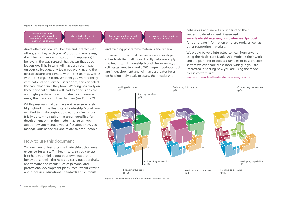#### **Figure 2 :** The impact of personal qualities on the experience of care

Greater self-awareness,  $self$ - control, self-knowledg $\alpha$ determination, resilience and other personal qualities

More effective leadership behaviours

Productive, care-focused and engaged climate in teams

Increasingly positive experience of care and service

and training programme materials and criteria.

However, for personal use we are also developing other tools that will more directly help you apply the Healthcare Leadership Model. For example, a self-assessment tool and a 360-degree feedback tool are in development and will have a greater focus on helping individuals to assess their leadership

behaviours and more fully understand their leadership development. Please visit www.leadershipacademy.nhs.uk/leadershipmodel for up-to-date information on these tools, as well as other supporting materials.

We would be very interested to hear from anyone using the Healthcare Leadership Model in their work and are planning to collect examples of best practice so that we can share these more widely. If you are interested in sharing how you are using the model, please contact us at

leadershipmodel@leadershipacademy.nhs.uk.



**Figure 3 :** The nine dimensions of the Healthcare Leadership Model

direct effect on how you behave and interact with others, and they with you. Without this awareness, it will be much more difficult (if not impossible) to behave in the way research has shown that good leaders do. This, in turn, will have a direct impact on your colleagues, any team you work in, and the overall culture and climate within the team as well as within the organisation. Whether you work directly with patients and service users or not, this can affect the care experience they have. Working positively on these personal qualities will lead to a focus on care and high-quality services for patients and service users, their carers and their families (see Figure 2).

While personal qualities have not been separately highlighted in the Healthcare Leadership Model, you will find them throughout the various dimensions. It is important to realise that areas identified for development within the model may be as much about how you manage yourself as about how you manage your behaviour and relate to other people.

#### How to use this document

The document illustrates the leadership behaviours expected for all staff in healthcare, so you can use it to help you think about your own leadership behaviours. It will also help you carry out appraisals, and to write documents such as personal and professional development plans, recruitment criteria and processes, educational standards and curricula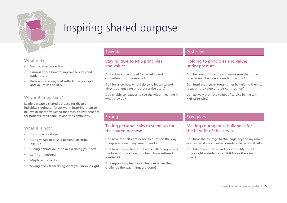

### Inspiring shared purpose

### What is it?

- Valuing a service ethos
- Curious about how to improve services and patient care
- Behaving in a way that reflects the principles and values of the NHS

### Why is it important?

Leaders create a shared purpose for diverse individuals doing different work, inspiring them to believe in shared values so that they deliver benefits for patients, their families and the community

### What is it not?

- Turning a blind eye
- Using values to push a personal or 'tribal' agenda
- Hiding behind values to avoid doing your best
- Self-righteousness
- Misplaced tenacity
- Shying away from doing what you know is right

### Essential

### Staying true to NHS principles and values

Do I act as a role model for belief in and commitment to the service?

Do I focus on how what I do contributes to and affects patient care or other service users?

Do I enable colleagues to see the wider meaning in what they do?

### Proficient

### Holding to principles and values under pressure

Do I behave consistently and make sure that others do so even when we are under pressure?

Do I inspire others in tough times by helping them to focus on the value of their contribution?

Do I actively promote values of service in line with NHS principles?

### Strong

### Taking personal risks to stand up for the shared purpose

Do I have the self-confidence to question the way things are done in my area of work?

Do I have the resilience to keep challenging others in the face of opposition, or when I have suffered a setback?

Do I support my team or colleagues when they challenge the way things are done?

### Exemplary

### Making courageous challenges for the benefit of the service

Do I have the courage to challenge beyond my remit even when it may involve considerable personal risk?

Do I take the initiative and responsibility to put things right outside my remit if I see others fearing to act?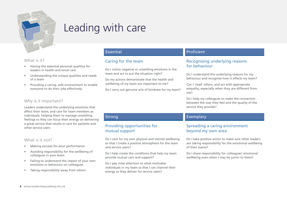

### Leading with care

### What is it?

- Having the essential personal qualities for leaders in health and social care
- Understanding the unique qualities and needs of a team
- Providing a caring, safe environment to enable everyone to do their jobs effectively

### Why is it important?

Leaders understand the underlying emotions that affect their team, and care for team members as individuals, helping them to manage unsettling feelings so they can focus their energy on delivering a great service that results in care for patients and other service users

### What is it not?

- Making excuses for poor performance
- Avoiding responsibility for the wellbeing of colleagues in your team
- Failing to understand the impact of your own emotions or behaviour on colleagues
- Taking responsibility away from others

### Essential

### Caring for the team

Do I notice negative or unsettling emotions in the team and act to put the situation right?

Do my actions demonstrate that the health and wellbeing of my team are important to me?

Do I carry out genuine acts of kindness for my team?

### Proficient

### Recognising underlying reasons for behaviour

Do I understand the underlying reasons for my behaviour and recognise how it affects my team?

Can I 'read' others, and act with appropriate empathy, especially when they are different from me?

Do I help my colleagues to make the connection between the way they feel and the quality of the service they provide?

### Exemplary

### Spreading a caring environment beyond my own area

Do I take positive action to make sure other leaders are taking responsibility for the emotional wellbeing of their teams?

Do I share responsibility for colleagues' emotional wellbeing even when I may be junior to them?

### Strong

### Providing opportunities for mutual support

Do I care for my own physical and mental wellbeing so that I create a positive atmosphere for the team and service users?

Do I help create the conditions that help my team provide mutual care and support?

Do I pay close attention to what motivates individuals in my team so that I can channel their energy so they deliver for service users?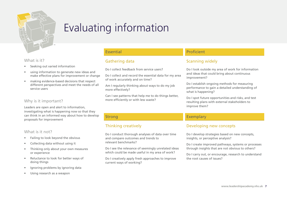

### Evaluating information

#### What is it?

- Seeking out varied information
- using information to generate new ideas and make effective plans for improvement or change
- making evidence-based decisions that respect different perspectives and meet the needs of all service users

### Why is it important?

Leaders are open and alert to information, investigating what is happening now so that they can think in an informed way about how to develop proposals for improvement

### What is it not?

- Failing to look beyond the obvious
- Collecting data without using it
- Thinking only about your own measures or experience
- Reluctance to look for better ways of doing things
- Ignoring problems by ignoring data
- Using research as a weapon

### Essential

### Gathering data

Do I collect feedback from service users?

Do I collect and record the essential data for my area of work accurately and on time?

Am I regularly thinking about ways to do my job more effectively?

Can I see patterns that help me to do things better, more efficiently or with less waste?

### Proficient

### Scanning widely

Do I look outside my area of work for information and ideas that could bring about continuous improvement?

Do I establish ongoing methods for measuring performance to gain a detailed understanding of what is happening?

Do I spot future opportunities and risks, and test resulting plans with external stakeholders to improve them?

### Strong

### Thinking creatively

Do I conduct thorough analyses of data over time and compare outcomes and trends to relevant benchmarks?

Do I see the relevance of seemingly unrelated ideas which could be made useful in my area of work?

Do I creatively apply fresh approaches to improve current ways of working?

### Exemplary

### Developing new concepts

Do I develop strategies based on new concepts, insights, or perceptive analysis?

Do I create improved pathways, systems or processes through insights that are not obvious to others?

Do I carry out, or encourage, research to understand the root causes of issues?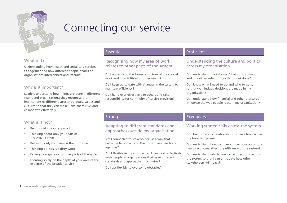

### Connecting our service

### What is it?

Understanding how health and social care services fit together and how different people, teams or organisations interconnect and interact

### Why is it important?

Leaders understand how things are done in different teams and organisations; they recognise the implications of different structures, goals, values and cultures so that they can make links, share risks and collaborate effectively

### What is it not?

- Being rigid in your approach
- Thinking about only your part of the organisation
- Believing only your view is the right one
- Thinking politics is a dirty word
- Failing to engage with other parts of the system
- Focusing solely on the depth of your area at the expense of the broader service

### Essential

### Recognising how my area of work relates to other parts of the system

Do I understand the formal structure of my area of work and how it fits with other teams?

Do I keep up to date with changes in the system to maintain efficiency?

Do I hand over effectively to others and take responsibility for continuity of service provision?

### Proficient

### Understanding the culture and politics across my organisation

Do I understand the informal 'chain of command' and unwritten rules of how things get done?

Do I know what I need to do and who to go to so that well-judged decisions are made in my organisation?

Do I understand how financial and other pressures influence the way people react in my organisation?

### Strong

### Adapting to different standards and approaches outside my organisation

Am I connected to stakeholders in a way that helps me to understand their unspoken needs and agendas?

Am I flexible in my approach so I can work effectively with people in organisations that have different standards and approaches from mine?

Do I act flexibly to overcome obstacles?

### Exemplary

### Working strategically across the system

Do I build strategic relationships to make links across the broader system?

Do I understand how complex connections across the health economy affect the efficiency of the system?

Do I understand which issues affect decisions across the system so that I can anticipate how other stakeholders will react?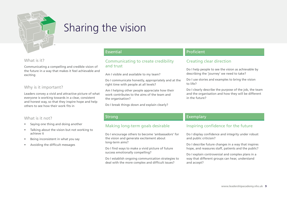

### Sharing the vision

### What is it?

Communicating a compelling and credible vision of the future in a way that makes it feel achievable and exciting

### Why is it important?

Leaders convey a vivid and attractive picture of what everyone is working towards in a clear, consistent and honest way, so that they inspire hope and help others to see how their work fits in

### Essential

### Communicating to create credibility and trust

Am I visible and available to my team?

Do I communicate honestly, appropriately and at the right time with people at all levels?

Am I helping other people appreciate how their work contributes to the aims of the team and the organisation?

Do I break things down and explain clearly?

### Proficient

### Creating clear direction

Do I help people to see the vision as achievable by describing the 'journey' we need to take?

Do I use stories and examples to bring the vision to life?

Do I clearly describe the purpose of the job, the team and the organisation and how they will be different in the future?

### What is it not?

- Saying one thing and doing another
- Talking about the vision but not working to achieve it
- Being inconsistent in what you say
- Avoiding the difficult messages

### **Strong**

### Making long-term goals desirable

Do I encourage others to become 'ambassadors' for the vision and generate excitement about long-term aims?

Do I find ways to make a vivid picture of future success emotionally compelling?

Do I establish ongoing communication strategies to deal with the more complex and difficult issues?

### Exemplary

### Inspiring confidence for the future

Do I display confidence and integrity under robust and public criticism?

Do I describe future changes in a way that inspires hope, and reassures staff, patients and the public?

Do I explain controversial and complex plans in a way that different groups can hear, understand and accept?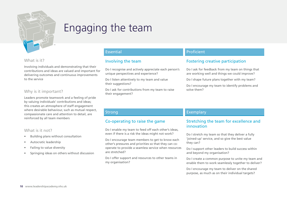

### Engaging the team

### What is it?

Involving individuals and demonstrating that their contributions and ideas are valued and important for delivering outcomes and continuous improvements to the service

### Why is it important?

Leaders promote teamwork and a feeling of pride by valuing individuals' contributions and ideas; this creates an atmosphere of staff engagement where desirable behaviour, such as mutual respect, compassionate care and attention to detail, are reinforced by all team members

### What is it not?

- Building plans without consultation
- Autocratic leadership
- Failing to value diversity
- Springing ideas on others without discussion

### Essential

### Involving the team

Do I recognise and actively appreciate each person's unique perspectives and experience?

Do I listen attentively to my team and value their suggestions?

Do I ask for contributions from my team to raise their engagement?

### Proficient

### Fostering creative participation

Do I ask for feedback from my team on things that are working well and things we could improve?

Do I shape future plans together with my team?

Do I encourage my team to identify problems and solve them?

### **Strong**

### Co-operating to raise the game

Do I enable my team to feed off each other's ideas, even if there is a risk the ideas might not work?

Do I encourage team members to get to know each other's pressures and priorities so that they can cooperate to provide a seamless service when resources are stretched?

Do I offer support and resources to other teams in my organisation?

### Exemplary

### Stretching the team for excellence and innovation

Do I stretch my team so that they deliver a fully 'joined-up' service, and so give the best value they can?

Do I support other leaders to build success within and beyond my organisation?

Do I create a common purpose to unite my team and enable them to work seamlessly together to deliver?

Do I encourage my team to deliver on the shared purpose, as much as on their individual targets?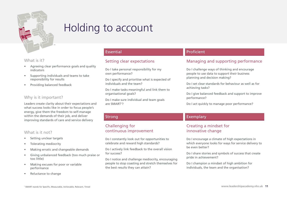

### Holding to account

#### What is it?

- Agreeing clear performance goals and quality indicators
- Supporting individuals and teams to take responsibility for results
- Providing balanced feedback

### Why is it important?

Leaders create clarity about their expectations and what success looks like in order to focus people's energy, give them the freedom to self-manage within the demands of their job, and deliver improving standards of care and service delivery

### What is it not?

- Setting unclear targets
- Tolerating mediocrity
- Making erratic and changeable demands
- Giving unbalanced feedback (too much praise or too little)
- Making excuses for poor or variable performance
- Reluctance to change

### Essential

### Setting clear expectations

- Do I take personal responsibility for my own performance?
- Do I specify and prioritise what is expected of individuals and the team?

Do I make tasks meaningful and link them to organisational goals?

Do I make sure individual and team goals are SMART<sup>1</sup>?

Do I constantly look out for opportunities to celebrate and reward high standards?

Do I actively link feedback to the overall vision

Do I notice and challenge mediocrity, encouraging people to stop coasting and stretch themselves for

Challenging for

for success?

Strong

continuous improvement

the best results they can attain?

### Proficient

### Managing and supporting performance

Do I challenge ways of thinking and encourage people to use data to support their business planning and decision making?

Do I set clear standards for behaviour as well as for achieving tasks?

Do I give balanced feedback and support to improve performance?

Do I act quickly to manage poor performance?

### Exemplary

### Creating a mindset for innovative change

Do I encourage a climate of high expectations in which everyone looks for ways for service delivery to be even better?

Do I share stories and symbols of success that create pride in achievement?

Do I champion a mindset of high ambition for individuals, the team and the organisation?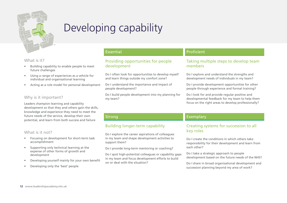

# Developing capability

### What is it?

- Building capability to enable people to meet future challenges
- Using a range of experiences as a vehicle for individual and organisational learning
- Acting as a role model for personal development

### Why is it important?

Leaders champion learning and capability development so that they and others gain the skills, knowledge and experience they need to meet the future needs of the service, develop their own potential, and learn from both success and failure

### What is it not?

- Focusing on development for short-term task accomplishment
- Supporting only technical learning at the expense of other forms of growth and development
- Developing yourself mainly for your own benefit
- Developing only the 'best' people

### Essential

### Providing opportunities for people development

Do I often look for opportunities to develop myself and learn things outside my comfort zone?

Do I understand the importance and impact of people development?

Do I build people development into my planning for my team?

### Proficient

### Taking multiple steps to develop team members

Do I explore and understand the strengths and development needs of individuals in my team?

Do I provide development opportunities for other people through experience and formal training?

Do I look for and provide regular positive and developmental feedback for my team to help them focus on the right areas to develop professionally?

### Strong

### Building longer-term capability

Do I explore the career aspirations of colleagues in my team and shape development activities to support them?

Do I provide long-term mentoring or coaching?

Do I spot high-potential colleagues or capability gaps in my team and focus development efforts to build on or deal with the situation?

### Exemplary

### Creating systems for succession to all key roles

Do I create the conditions in which others take responsibility for their development and learn from each other?

Do I take a strategic approach to people development based on the future needs of the NHS?

Do I share in broad organisational development and succession planning beyond my area of work?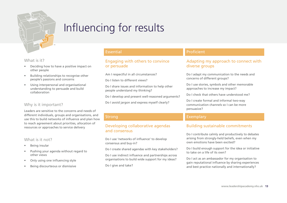

# Influencing for results

### What is it?

- Deciding how to have a positive impact on other people
- Building relationships to recognise other people's passions and concerns
- Using interpersonal and organisational understanding to persuade and build collaboration

### Why is it important?

Leaders are sensitive to the concerns and needs of different individuals, groups and organisations, and use this to build networks of influence and plan how to reach agreement about priorities, allocation of resources or approaches to service delivery

### What is it not?

- Being insular
- Pushing your agenda without regard to other views
- Only using one influencing style
- Being discourteous or dismissive

### Essential

### Engaging with others to convince or persuade

- Am I respectful in all circumstances?
- Do I listen to different views?
- Do I share issues and information to help other people understand my thinking?
- Do I develop and present well-reasoned arguments?
- Do I avoid jargon and express myself clearly?

### Proficient

### Adapting my approach to connect with diverse groups

Do I adapt my communication to the needs and concerns of different groups?

Do I use stories, symbols and other memorable approaches to increase my impact?

Do I check that others have understood me?

Do I create formal and informal two-way communication channels so I can be more persuasive?

### Exemplary

### Building sustainable commitments

Do I contribute calmly and productively to debates arising from strongly-held beliefs, even when my own emotions have been excited?

Do I build enough support for the idea or initiative to take on a life of its own?

Do I act as an ambassador for my organisation to gain reputational influence by sharing experiences and best practice nationally and internationally?

### **Strong**

### Developing collaborative agendas and consensus

Do I use 'networks of influence' to develop consensus and buy-in?

Do I create shared agendas with key stakeholders?

Do I use indirect influence and partnerships across organisations to build wide support for my ideas?

Do I give and take?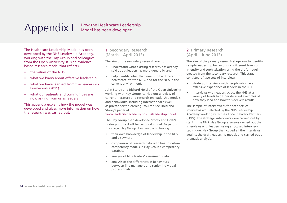# Appendix I

### How the Healthcare Leadership Model has been developed

The Healthcare Leadership Model has been developed by the NHS Leadership Academy, working with the Hay Group and colleagues from the Open University. It is an evidencebased research model that reflects:

- the values of the NHS
- what we know about effective leadership
- what we have learned from the Leadership Framework (2011)
- what our patients and communities are now asking from us as leaders

This appendix explains how the model was developed and gives more information on how the research was carried out.

### 1 Secondary Research (March – April 2013)

The aim of the secondary research was to:

- understand what existing research has already said about leadership more generally, and
- help identify what then needs to be different for healthcare, for the NHS, and for the NHS in the current environment.

John Storey and Richard Holti of the Open University, working with Hay Group, carried out a review of current literature and research on leadership models and behaviours, including international as well as private-sector learning. You can see Holti and Storey's paper at

#### www.leadershipacademy.nhs.uk/leadershipmodel

The Hay Group then developed Storey and Holti's findings into a draft behavioural model. As part of this stage, Hay Group drew on the following:

- their own knowledge of leadership in the NHS and elsewhere
- comparison of research data with health system competency models in Hay Group's competency database
- analysis of NHS leaders' assessment data
- analysis of the differences in behaviours between line managers and senior individual professionals

### 2 Primary Research (April – June 2013)

The aim of the primary research stage was to identify sample leadership behaviours at different levels of intensity and sophistication using the draft model created from the secondary research. This stage consisted of two sets of interviews:

- strategic interviews with people who have extensive experience of leaders in the NHS
- interviews with leaders across the NHS at a variety of levels to gather detailed examples of how they lead and how this delivers results

The sample of interviewees for both sets of interviews was selected by the NHS Leadership Academy working with their Local Delivery Partners (LDPs). The strategic interviews were carried out by staff in the NHS. Hay Group assessors carried out the interviews with leaders, using a focused interview technique. Hay Group then coded all the interviews against the draft leadership model, and carried out a thematic analysis.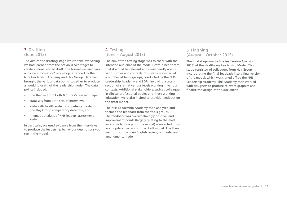### 3 Drafting (June 2013)

The aim of the drafting stage was to take everything we had learned from the previous two stages to create a more refined draft. The format we used was a 'concept formation' workshop, attended by the NHS Leadership Academy and Hay Group. Here we brought the various data points together to produce a 'working draft' of the leadership model. The data points included:

- the themes from Holti & Storey's research paper
- data sets from both sets of interviews
- data with health system competency models in the Hay Group competency database, and
- thematic analysis of NHS leaders' assessment data

In particular, we used evidence from the interviews to produce the leadership behaviour descriptions you see in the model.

### 4 Testing (June – August 2013)

The aim of the testing stage was to check with the intended audience of the model (staff in healthcare) that it would be relevant and user-friendly across various roles and contexts. This stage consisted of a number of focus groups, conducted by the NHS Leadership Academy and LDPs, involving a crosssection of staff at various levels working in various contexts. Additional stakeholders, such as colleagues in clinical professional bodies and those working in education, were also invited to provide feedback on the draft model.

The NHS Leadership Academy then analysed and themed the feedback from the focus groups. The feedback was overwhelmingly positive, and improvement points (largely relating to the most accessible language for the model) were acted upon in an updated version of the draft model. This then went through a plain English review, with relevant amendments made.

### 5 Finishing (August – October 2013)

The final stage was to finalise 'version 1/version 2013' of the Healthcare Leadership Model. This stage consisted of colleagues from Hay Group incorporating the final feedback into a final version of the model, which was signed off by the NHS Leadership Academy. The Academy then worked with designers to produce relevant graphics and finalise the design of this document.